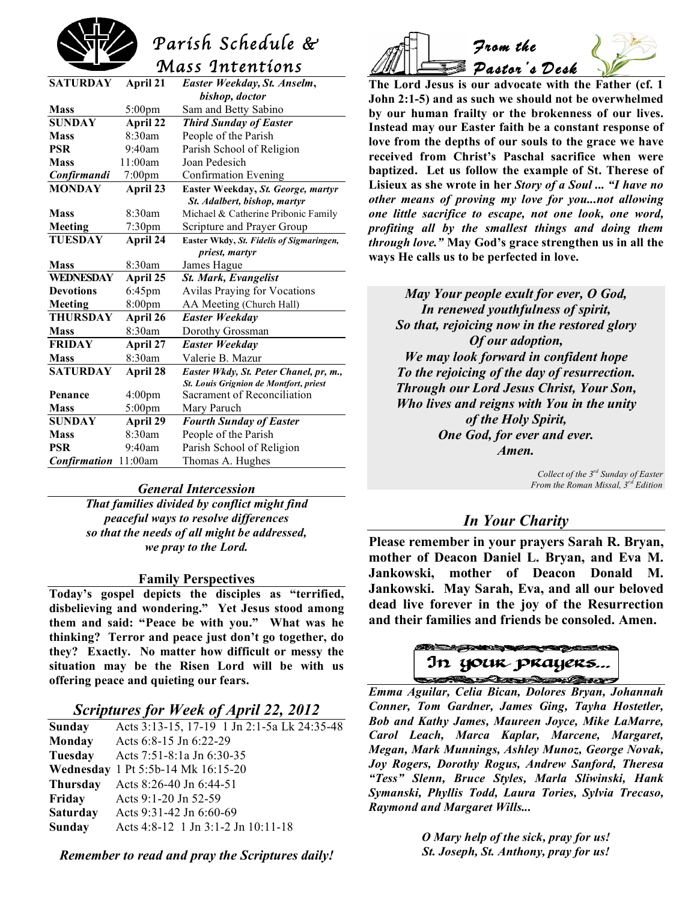

# *Parish Schedule &*

 *Mass Intentions* 

| <b>SATURDAY</b>     | April 21           | Easter Weekday, St. Anselm,              |  |
|---------------------|--------------------|------------------------------------------|--|
|                     |                    | bishop, doctor                           |  |
| <b>Mass</b>         | $5:00 \text{pm}$   | Sam and Betty Sabino                     |  |
| <b>SUNDAY</b>       | <b>April 22</b>    | <b>Third Sunday of Easter</b>            |  |
| <b>Mass</b>         | 8:30am             | People of the Parish                     |  |
| <b>PSR</b>          | 9:40am             | Parish School of Religion                |  |
| <b>Mass</b>         | 11:00am            | Joan Pedesich                            |  |
| Confirmandi         | $7:00$ pm          | <b>Confirmation Evening</b>              |  |
| <b>MONDAY</b>       | April 23           | Easter Weekday, St. George, martyr       |  |
|                     |                    | St. Adalbert, bishop, martyr             |  |
| <b>Mass</b>         | 8:30am             | Michael & Catherine Pribonic Family      |  |
| Meeting             | 7:30pm             | Scripture and Prayer Group               |  |
| <b>TUESDAY</b>      | April 24           | Easter Wkdy, St. Fidelis of Sigmaringen, |  |
|                     |                    | priest, martyr                           |  |
| <b>Mass</b>         | 8:30am             | James Hague                              |  |
| WEDNESDAY           | April 25           | <b>St. Mark, Evangelist</b>              |  |
| <b>Devotions</b>    | 6:45pm             | <b>Avilas Praying for Vocations</b>      |  |
| Meeting             | 8:00pm             | AA Meeting (Church Hall)                 |  |
| <b>THURSDAY</b>     | April 26           | <b>Easter Weekday</b>                    |  |
| <b>Mass</b>         | 8:30am             | Dorothy Grossman                         |  |
| <b>FRIDAY</b>       | April 27           | <b>Easter Weekday</b>                    |  |
| <b>Mass</b>         | 8:30am             | Valerie B. Mazur                         |  |
| <b>SATURDAY</b>     | April 28           | Easter Wkdy, St. Peter Chanel, pr, m.,   |  |
|                     |                    | St. Louis Grignion de Montfort, priest   |  |
| Penance             | 4:00 <sub>pm</sub> | Sacrament of Reconciliation              |  |
| <b>Mass</b>         | 5:00pm             | Mary Paruch                              |  |
| <b>SUNDAY</b>       | April 29           | <b>Fourth Sunday of Easter</b>           |  |
| <b>Mass</b>         | 8:30am             | People of the Parish                     |  |
| <b>PSR</b>          | 9:40am             | Parish School of Religion                |  |
| <b>Confirmation</b> | 11:00am            | Thomas A. Hughes                         |  |
|                     |                    |                                          |  |

#### *General Intercession*

*That families divided by conflict might find peaceful ways to resolve differences so that the needs of all might be addressed, we pray to the Lord.*

#### **Family Perspectives**

**Today's gospel depicts the disciples as "terrified, disbelieving and wondering." Yet Jesus stood among them and said: "Peace be with you." What was he thinking? Terror and peace just don't go together, do they? Exactly. No matter how difficult or messy the situation may be the Risen Lord will be with us offering peace and quieting our fears.**

### *Scriptures for Week of April 22, 2012*

| <b>Sunday</b>   | Acts 3:13-15, 17-19 1 Jn 2:1-5a Lk 24:35-48 |
|-----------------|---------------------------------------------|
| <b>Monday</b>   | Acts 6:8-15 Jn 6:22-29                      |
| Tuesday         | Acts 7:51-8:1a Jn 6:30-35                   |
|                 | Wednesday 1 Pt 5:5b-14 Mk 16:15-20          |
| <b>Thursday</b> | Acts 8:26-40 Jn 6:44-51                     |
| Friday          | Acts 9:1-20 Jn 52-59                        |
| <b>Saturday</b> | Acts 9:31-42 Jn 6:60-69                     |
| <b>Sunday</b>   | Acts 4:8-12 1 Jn 3:1-2 Jn 10:11-18          |
|                 |                                             |

*Remember to read and pray the Scriptures daily!*



**The Lord Jesus is our advocate with the Father (cf. 1 John 2:1-5) and as such we should not be overwhelmed by our human frailty or the brokenness of our lives. Instead may our Easter faith be a constant response of love from the depths of our souls to the grace we have received from Christ's Paschal sacrifice when were baptized. Let us follow the example of St. Therese of Lisieux as she wrote in her** *Story of a Soul ... "I have no other means of proving my love for you...not allowing one little sacrifice to escape, not one look, one word, profiting all by the smallest things and doing them through love."* **May God's grace strengthen us in all the ways He calls us to be perfected in love.**

*May Your people exult for ever, O God, In renewed youthfulness of spirit, So that, rejoicing now in the restored glory Of our adoption, We may look forward in confident hope To the rejoicing of the day of resurrection. Through our Lord Jesus Christ, Your Son, Who lives and reigns with You in the unity of the Holy Spirit, One God, for ever and ever. Amen.*

> *Collect of the 3rd Sunday of Easter From the Roman Missal, 3rd Edition*

# *In Your Charity*

**Please remember in your prayers Sarah R. Bryan, mother of Deacon Daniel L. Bryan, and Eva M. Jankowski, mother of Deacon Donald M. Jankowski. May Sarah, Eva, and all our beloved dead live forever in the joy of the Resurrection and their families and friends be consoled. Amen.**

In your prayers...

 *Emma Aguilar, Celia Bican, Dolores Bryan, Johannah Conner, Tom Gardner, James Ging, Tayha Hostetler, Bob and Kathy James, Maureen Joyce, Mike LaMarre, Carol Leach, Marca Kaplar, Marcene, Margaret, Megan, Mark Munnings, Ashley Munoz, George Novak, Joy Rogers, Dorothy Rogus, Andrew Sanford, Theresa "Tess" Slenn, Bruce Styles, Marla Sliwinski, Hank Symanski, Phyllis Todd, Laura Tories, Sylvia Trecaso, Raymond and Margaret Wills...*

> *O Mary help of the sick, pray for us! St. Joseph, St. Anthony, pray for us!*